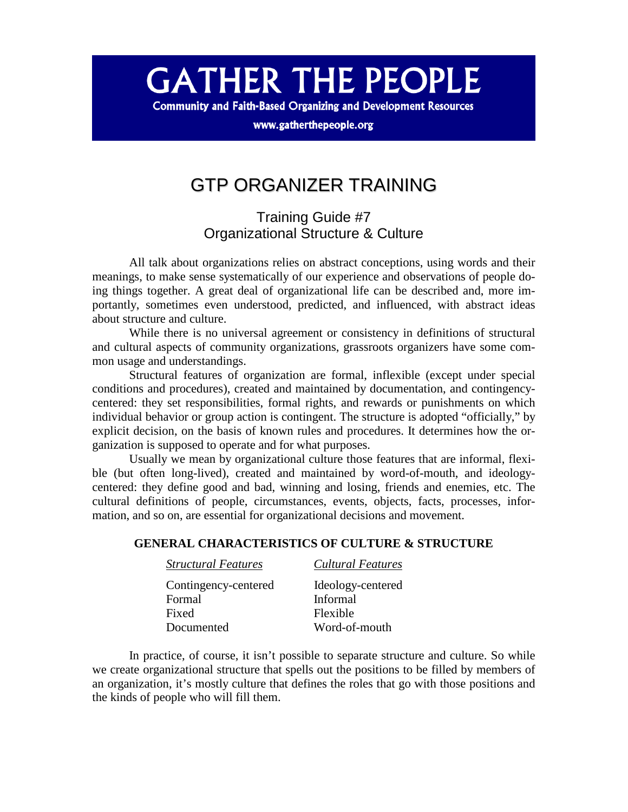# **GATHER THE PEOPLE**

**Community and Faith-Based Organizing and Development Resources** 

www.gatherthepeople.org

# GTP ORGANIZER TRAINING

Training Guide #7 Organizational Structure & Culture

 All talk about organizations relies on abstract conceptions, using words and their meanings, to make sense systematically of our experience and observations of people doing things together. A great deal of organizational life can be described and, more importantly, sometimes even understood, predicted, and influenced, with abstract ideas about structure and culture.

 While there is no universal agreement or consistency in definitions of structural and cultural aspects of community organizations, grassroots organizers have some common usage and understandings.

 Structural features of organization are formal, inflexible (except under special conditions and procedures), created and maintained by documentation, and contingencycentered: they set responsibilities, formal rights, and rewards or punishments on which individual behavior or group action is contingent. The structure is adopted "officially," by explicit decision, on the basis of known rules and procedures. It determines how the organization is supposed to operate and for what purposes.

 Usually we mean by organizational culture those features that are informal, flexible (but often long-lived), created and maintained by word-of-mouth, and ideologycentered: they define good and bad, winning and losing, friends and enemies, etc. The cultural definitions of people, circumstances, events, objects, facts, processes, information, and so on, are essential for organizational decisions and movement.

# **GENERAL CHARACTERISTICS OF CULTURE & STRUCTURE**

| <b>Structural Features</b> | <b>Cultural Features</b> |
|----------------------------|--------------------------|
| Contingency-centered       | Ideology-centered        |
| Formal                     | Informal                 |
| Fixed                      | Flexible                 |
| Documented                 | Word-of-mouth            |

 In practice, of course, it isn't possible to separate structure and culture. So while we create organizational structure that spells out the positions to be filled by members of an organization, it's mostly culture that defines the roles that go with those positions and the kinds of people who will fill them.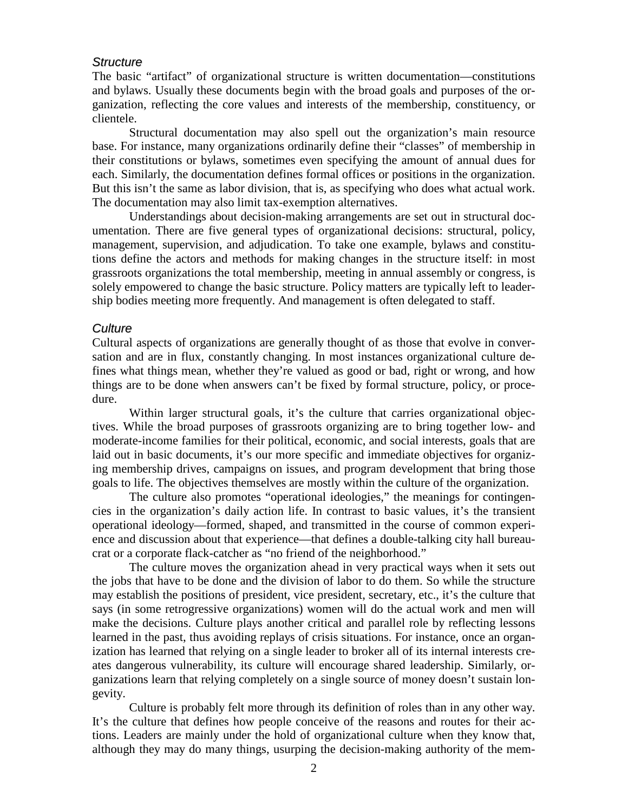## *Structure*

The basic "artifact" of organizational structure is written documentation—constitutions and bylaws. Usually these documents begin with the broad goals and purposes of the organization, reflecting the core values and interests of the membership, constituency, or clientele.

 Structural documentation may also spell out the organization's main resource base. For instance, many organizations ordinarily define their "classes" of membership in their constitutions or bylaws, sometimes even specifying the amount of annual dues for each. Similarly, the documentation defines formal offices or positions in the organization. But this isn't the same as labor division, that is, as specifying who does what actual work. The documentation may also limit tax-exemption alternatives.

 Understandings about decision-making arrangements are set out in structural documentation. There are five general types of organizational decisions: structural, policy, management, supervision, and adjudication. To take one example, bylaws and constitutions define the actors and methods for making changes in the structure itself: in most grassroots organizations the total membership, meeting in annual assembly or congress, is solely empowered to change the basic structure. Policy matters are typically left to leadership bodies meeting more frequently. And management is often delegated to staff.

#### *Culture*

Cultural aspects of organizations are generally thought of as those that evolve in conversation and are in flux, constantly changing. In most instances organizational culture defines what things mean, whether they're valued as good or bad, right or wrong, and how things are to be done when answers can't be fixed by formal structure, policy, or procedure.

Within larger structural goals, it's the culture that carries organizational objectives. While the broad purposes of grassroots organizing are to bring together low- and moderate-income families for their political, economic, and social interests, goals that are laid out in basic documents, it's our more specific and immediate objectives for organizing membership drives, campaigns on issues, and program development that bring those goals to life. The objectives themselves are mostly within the culture of the organization.

 The culture also promotes "operational ideologies," the meanings for contingencies in the organization's daily action life. In contrast to basic values, it's the transient operational ideology—formed, shaped, and transmitted in the course of common experience and discussion about that experience—that defines a double-talking city hall bureaucrat or a corporate flack-catcher as "no friend of the neighborhood."

 The culture moves the organization ahead in very practical ways when it sets out the jobs that have to be done and the division of labor to do them. So while the structure may establish the positions of president, vice president, secretary, etc., it's the culture that says (in some retrogressive organizations) women will do the actual work and men will make the decisions. Culture plays another critical and parallel role by reflecting lessons learned in the past, thus avoiding replays of crisis situations. For instance, once an organization has learned that relying on a single leader to broker all of its internal interests creates dangerous vulnerability, its culture will encourage shared leadership. Similarly, organizations learn that relying completely on a single source of money doesn't sustain longevity.

 Culture is probably felt more through its definition of roles than in any other way. It's the culture that defines how people conceive of the reasons and routes for their actions. Leaders are mainly under the hold of organizational culture when they know that, although they may do many things, usurping the decision-making authority of the mem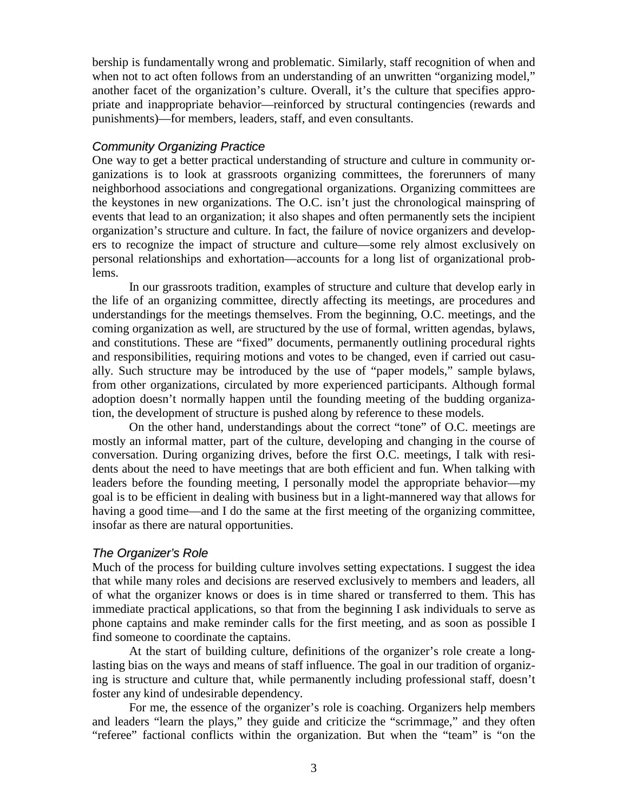bership is fundamentally wrong and problematic. Similarly, staff recognition of when and when not to act often follows from an understanding of an unwritten "organizing model," another facet of the organization's culture. Overall, it's the culture that specifies appropriate and inappropriate behavior—reinforced by structural contingencies (rewards and punishments)—for members, leaders, staff, and even consultants.

# *Community Organizing Practice*

One way to get a better practical understanding of structure and culture in community organizations is to look at grassroots organizing committees, the forerunners of many neighborhood associations and congregational organizations. Organizing committees are the keystones in new organizations. The O.C. isn't just the chronological mainspring of events that lead to an organization; it also shapes and often permanently sets the incipient organization's structure and culture. In fact, the failure of novice organizers and developers to recognize the impact of structure and culture—some rely almost exclusively on personal relationships and exhortation—accounts for a long list of organizational problems.

 In our grassroots tradition, examples of structure and culture that develop early in the life of an organizing committee, directly affecting its meetings, are procedures and understandings for the meetings themselves. From the beginning, O.C. meetings, and the coming organization as well, are structured by the use of formal, written agendas, bylaws, and constitutions. These are "fixed" documents, permanently outlining procedural rights and responsibilities, requiring motions and votes to be changed, even if carried out casually. Such structure may be introduced by the use of "paper models," sample bylaws, from other organizations, circulated by more experienced participants. Although formal adoption doesn't normally happen until the founding meeting of the budding organization, the development of structure is pushed along by reference to these models.

 On the other hand, understandings about the correct "tone" of O.C. meetings are mostly an informal matter, part of the culture, developing and changing in the course of conversation. During organizing drives, before the first O.C. meetings, I talk with residents about the need to have meetings that are both efficient and fun. When talking with leaders before the founding meeting, I personally model the appropriate behavior—my goal is to be efficient in dealing with business but in a light-mannered way that allows for having a good time—and I do the same at the first meeting of the organizing committee, insofar as there are natural opportunities.

#### *The Organizer's Role*

Much of the process for building culture involves setting expectations. I suggest the idea that while many roles and decisions are reserved exclusively to members and leaders, all of what the organizer knows or does is in time shared or transferred to them. This has immediate practical applications, so that from the beginning I ask individuals to serve as phone captains and make reminder calls for the first meeting, and as soon as possible I find someone to coordinate the captains.

 At the start of building culture, definitions of the organizer's role create a longlasting bias on the ways and means of staff influence. The goal in our tradition of organizing is structure and culture that, while permanently including professional staff, doesn't foster any kind of undesirable dependency.

 For me, the essence of the organizer's role is coaching. Organizers help members and leaders "learn the plays," they guide and criticize the "scrimmage," and they often "referee" factional conflicts within the organization. But when the "team" is "on the